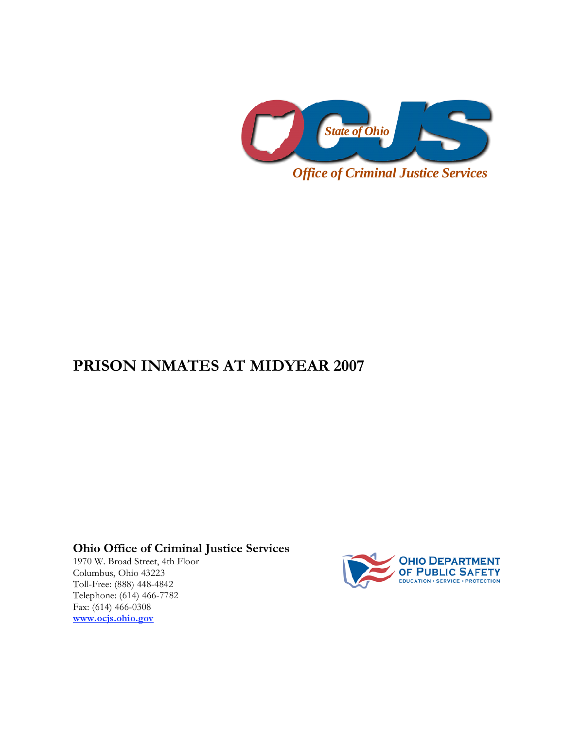

## **PRISON INMATES AT MIDYEAR 2007**

**Ohio Office of Criminal Justice Services** 

1970 W. Broad Street, 4th Floor Columbus, Ohio 43223 Toll-Free: (888) 448-4842 Telephone: (614) 466-7782 Fax: (614) 466-0308 **www.ocjs.ohio.gov**

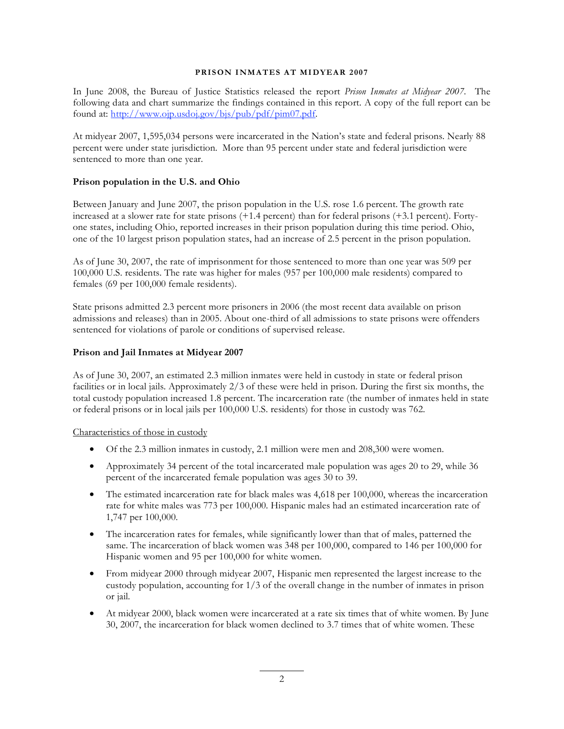## **PRISON INMATES AT MIDYEAR 2007**

In June 2008, the Bureau of Justice Statistics released the report *Prison Inmates at Midyear 2007*. The following data and chart summarize the findings contained in this report. A copy of the full report can be found at: http://www.ojp.usdoj.gov/bjs/pub/pdf/pim07.pdf.

At midyear 2007, 1,595,034 persons were incarcerated in the Nation's state and federal prisons. Nearly 88 percent were under state jurisdiction. More than 95 percent under state and federal jurisdiction were sentenced to more than one year.

## **Prison population in the U.S. and Ohio**

Between January and June 2007, the prison population in the U.S. rose 1.6 percent. The growth rate increased at a slower rate for state prisons (+1.4 percent) than for federal prisons (+3.1 percent). Fortyone states, including Ohio, reported increases in their prison population during this time period. Ohio, one of the 10 largest prison population states, had an increase of 2.5 percent in the prison population.

As of June 30, 2007, the rate of imprisonment for those sentenced to more than one year was 509 per 100,000 U.S. residents. The rate was higher for males (957 per 100,000 male residents) compared to females (69 per 100,000 female residents).

State prisons admitted 2.3 percent more prisoners in 2006 (the most recent data available on prison admissions and releases) than in 2005. About one-third of all admissions to state prisons were offenders sentenced for violations of parole or conditions of supervised release.

## **Prison and Jail Inmates at Midyear 2007**

As of June 30, 2007, an estimated 2.3 million inmates were held in custody in state or federal prison facilities or in local jails. Approximately 2/3 of these were held in prison. During the first six months, the total custody population increased 1.8 percent. The incarceration rate (the number of inmates held in state or federal prisons or in local jails per 100,000 U.S. residents) for those in custody was 762.

Characteristics of those in custody

- Of the 2.3 million inmates in custody, 2.1 million were men and 208,300 were women.
- Approximately 34 percent of the total incarcerated male population was ages 20 to 29, while 36 percent of the incarcerated female population was ages 30 to 39.
- The estimated incarceration rate for black males was 4,618 per 100,000, whereas the incarceration rate for white males was 773 per 100,000. Hispanic males had an estimated incarceration rate of 1,747 per 100,000.
- The incarceration rates for females, while significantly lower than that of males, patterned the same. The incarceration of black women was 348 per 100,000, compared to 146 per 100,000 for Hispanic women and 95 per 100,000 for white women.
- From midyear 2000 through midyear 2007, Hispanic men represented the largest increase to the custody population, accounting for  $1/3$  of the overall change in the number of inmates in prison or jail.
- At midyear 2000, black women were incarcerated at a rate six times that of white women. By June 30, 2007, the incarceration for black women declined to 3.7 times that of white women. These